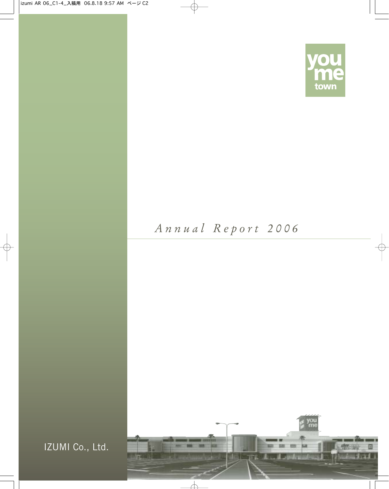

# *Annual Report 2006*



IZUMI Co., Ltd.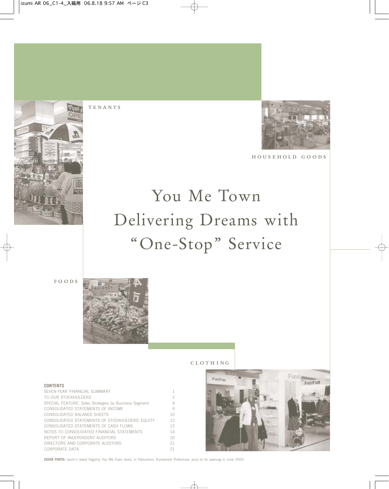



househol d goo d s

# You Me Town Delivering Dreams with "One-Stop" Service

FOODS

**CONTENTS**



TENANTS

#### cloth ing



SEVEN-YEAR FINANCIAL SUMMARY 1 TO OUR STOCKHOLDERS 2 SPECIAL FEATURE: Sales Strategies by Business Segment 4 CONSOLIDATED STATEMENTS OF INCOME 9 CONSOLIDATED BALANCE SHEETS 10 CONSOLIDATED STATEMENTS OF STOCKHOLDERS' EQUITY 12 CONSOLIDATED STATEMENTS OF CASH FLOWS 13 NOTES TO CONSOLIDATED FINANCIAL STATEMENTS 14 REPORT OF INDEPENDENT AUDITORS 20 DIRECTORS AND CORPORATE AUDITORS 21 CORPORATE DATA 21

**COVER PHOTO:** Izumi's latest flagship You Me Town store, in Yatsushiro, Kumamoto Prefecture, prior to its opening in June 2005.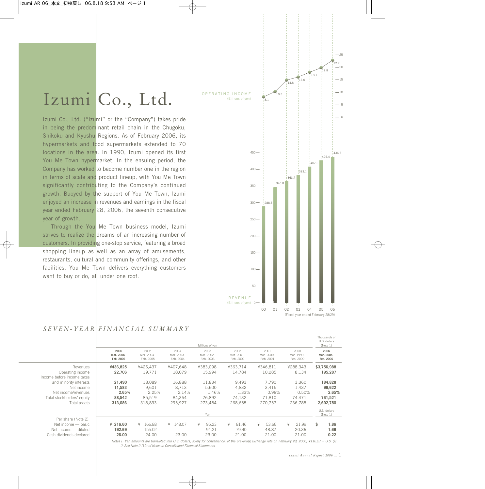# Izumi Co., Ltd.

Izumi Co., Ltd. ("Izumi" or the "Company") takes pride in being the predominant retail chain in the Chugoku, Shikoku and Kyushu Regions. As of February 2006, its hypermarkets and food supermarkets extended to 70 locations in the area. In 1990, Izumi opened its first You Me Town hypermarket. In the ensuing period, the Company has worked to become number one in the region in terms of scale and product lineup, with You Me Town significantly contributing to the Company's continued growth. Buoyed by the support of You Me Town, Izumi enjoyed an increase in revenues and earnings in the fiscal year ended February 28, 2006, the seventh consecutive year of growth.

Through the You Me Town business model, Izumi strives to realize the dreams of an increasing number of customers. In providing one-stop service, featuring a broad shopping lineup as well as an array of amusements, restaurants, cultural and community offerings, and other facilities, You Me Town delivers everything customers want to buy or do, all under one roof.



### *SEVEN-YEAR FINANCIAL SUMMARY*

|                                                                                              |                                 |                                 |                                 | Millions of yen                 |                                                                                                                                                          |                                 |                                 | U.S. dollars<br>(Note 1)        |
|----------------------------------------------------------------------------------------------|---------------------------------|---------------------------------|---------------------------------|---------------------------------|----------------------------------------------------------------------------------------------------------------------------------------------------------|---------------------------------|---------------------------------|---------------------------------|
|                                                                                              | 2006<br>Mar. 2005-<br>Feb. 2006 | 2005<br>Mar. 2004-<br>Feb. 2005 | 2004<br>Mar. 2003-<br>Feb. 2004 | 2003<br>Mar. 2002-<br>Feb. 2003 | 2002<br>Mar. 2001-<br>Feb. 2002                                                                                                                          | 2001<br>Mar. 2000-<br>Feb. 2001 | 2000<br>Mar. 1999-<br>Feb. 2000 | 2006<br>Mar. 2005-<br>Feb. 2006 |
| Revenues<br>Operating income<br>Income before income taxes                                   | ¥436.825<br>22,706              | ¥426.437<br>19,771              | ¥407.648<br>18,079              | ¥383.098<br>15,994              | ¥363.714<br>14,784                                                                                                                                       | ¥346.811<br>10,285              | ¥288.343<br>8,134               | \$3,756,988<br>195,287          |
| and minority interests<br>Net income                                                         | 21,490<br>11,583                | 18,089<br>9.601                 | 16,888<br>8.713                 | 11,834<br>5.600                 | 9,493<br>4,832                                                                                                                                           | 7,790<br>3,415                  | 3,360<br>1,437                  | 184,828<br>99,622               |
| Net income/revenues<br>Total stockholders' equity                                            | 2.65%<br>88,542                 | 2.25%<br>85,519                 | 2.14%<br>84,354                 | 1.46%<br>76,892                 | 1.33%<br>74,132                                                                                                                                          | 0.98%<br>71,810                 | 0.50%<br>74,471                 | 2.65%<br>761,521                |
| Total assets                                                                                 | 313,086                         | 318.893                         | 295.927                         | 273.484                         | 268.655                                                                                                                                                  | 270.757                         | 236.785                         | 2,692,750                       |
|                                                                                              |                                 |                                 |                                 | Yen                             |                                                                                                                                                          |                                 |                                 | U.S. dollars<br>(Note 1)        |
| Per share (Note 2):<br>Net income - basic<br>Net income - diluted<br>Cash dividends declared | ¥ 216.60<br>192.69<br>26.00     | 166.88<br>¥<br>155.02<br>24.00  | ¥ 148.07<br>23.00               | ¥<br>95.23<br>94.21<br>23.00    | 81.46<br>¥<br>79.40<br>21.00                                                                                                                             | ¥<br>53.66<br>48.87<br>21.00    | ¥<br>21.99<br>20.36<br>21.00    | \$<br>1.86<br>1.66<br>0.22      |
|                                                                                              |                                 |                                 |                                 |                                 | Notes 1: Yen amounts are translated into U.S. dollars, solely for convenience, at the prevailing exchange rate on February 28, 2006, ¥116.27 = U.S. \$1. |                                 |                                 |                                 |

*2: See Note 2 (19) of Notes to Consolidated Financial Statements.*

Thousands of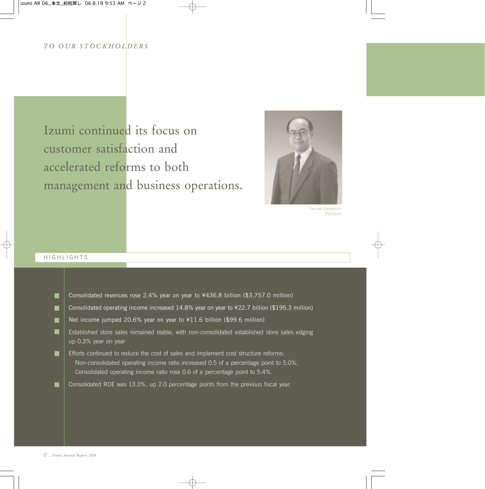### *TO OUR STOC KHOLDERS*

# Izumi continued its focus on customer satisfaction and accelerated reforms to both management and business operations.



Yasuaki Yamanishi President

#### HIGHLIGHTS

| Consolidated revenues rose 2.4% year on year to ¥436.8 billion (\$3,757.0 million)                                                                                                                                                                         |
|------------------------------------------------------------------------------------------------------------------------------------------------------------------------------------------------------------------------------------------------------------|
| Consolidated operating income increased 14.8% year on year to ¥22.7 billion (\$195.3 million)                                                                                                                                                              |
| Net income jumped 20.6% year on year to ¥11.6 billion (\$99.6 million)                                                                                                                                                                                     |
| Established store sales remained stable, with non-consolidated established store sales edging<br>up 0.3% year on year                                                                                                                                      |
| Efforts continued to reduce the cost of sales and implement cost structure reforms:<br>Non-consolidated operating income ratio increased 0.5 of a percentage point to 5.0%,<br>Consolidated operating income ratio rose 0.6 of a percentage point to 5.4%. |
| Consolidated ROE was 13.3%, up 2.0 percentage points from the previous fiscal year.                                                                                                                                                                        |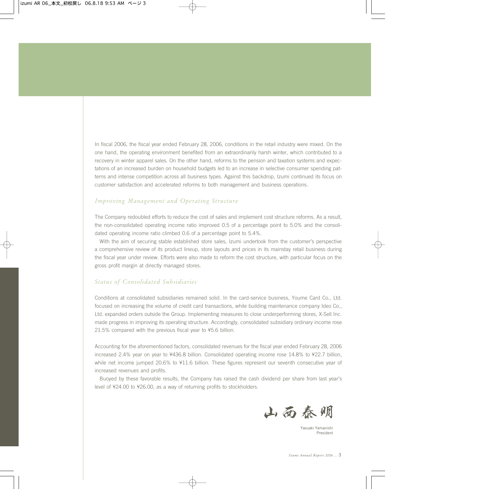In fiscal 2006, the fiscal year ended February 28, 2006, conditions in the retail industry were mixed. On the one hand, the operating environment benefited from an extraordinarily harsh winter, which contributed to a recovery in winter apparel sales. On the other hand, reforms to the pension and taxation systems and expectations of an increased burden on household budgets led to an increase in selective consumer spending patterns and intense competition across all business types. Against this backdrop, Izumi continued its focus on customer satisfaction and accelerated reforms to both management and business operations.

#### *Improving Management and Operating Structure*

The Company redoubled efforts to reduce the cost of sales and implement cost structure reforms. As a result, the non-consolidated operating income ratio improved 0.5 of a percentage point to 5.0% and the consolidated operating income ratio climbed 0.6 of a percentage point to 5.4%.

With the aim of securing stable established store sales, Izumi undertook from the customer's perspective a comprehensive review of its product lineup, store layouts and prices in its mainstay retail business during the fiscal year under review. Efforts were also made to reform the cost structure, with particular focus on the gross profit margin at directly managed stores.

#### *Status of Consolidated Subsidiaries*

Conditions at consolidated subsidiaries remained solid. In the card-service business, Youme Card Co., Ltd. focused on increasing the volume of credit card transactions, while building maintenance company Ideo Co., Ltd. expanded orders outside the Group. Implementing measures to close underperforming stores, X-Sell Inc. made progress in improving its operating structure. Accordingly, consolidated subsidiary ordinary income rose 21.5% compared with the previous fiscal year to ¥5.6 billion.

Accounting for the aforementioned factors, consolidated revenues for the fiscal year ended February 28, 2006 increased 2.4% year on year to ¥436.8 billion. Consolidated operating income rose 14.8% to ¥22.7 billion, while net income jumped 20.6% to ¥11.6 billion. These figures represent our seventh consecutive year of increased revenues and profits.

Buoyed by these favorable results, the Company has raised the cash dividend per share from last year's level of ¥24.00 to ¥26.00, as a way of returning profits to stockholders.



Yasuaki Yamanishi President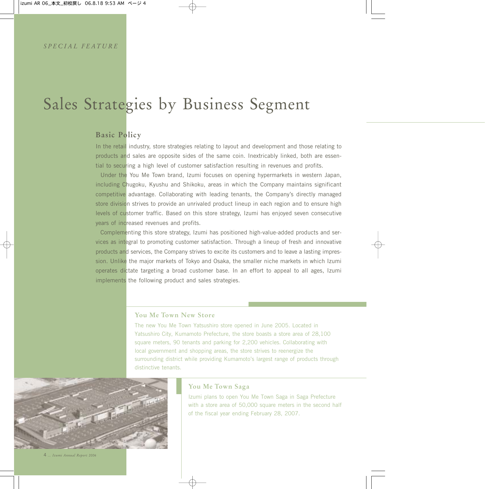# Sales Strategies by Business Segment

# **Basic Policy**

In the retail industry, store strategies relating to layout and development and those relating to products and sales are opposite sides of the same coin. Inextricably linked, both are essential to securing a high level of customer satisfaction resulting in revenues and profits.

Under the You Me Town brand, Izumi focuses on opening hypermarkets in western Japan, including Chugoku, Kyushu and Shikoku, areas in which the Company maintains significant competitive advantage. Collaborating with leading tenants, the Company's directly managed store division strives to provide an unrivaled product lineup in each region and to ensure high levels of customer traffic. Based on this store strategy, Izumi has enjoyed seven consecutive years of increased revenues and profits.

Complementing this store strategy, Izumi has positioned high-value-added products and services as integral to promoting customer satisfaction. Through a lineup of fresh and innovative products and services, the Company strives to excite its customers and to leave a lasting impression. Unlike the major markets of Tokyo and Osaka, the smaller niche markets in which Izumi operates dictate targeting a broad customer base. In an effort to appeal to all ages, Izumi implements the following product and sales strategies.

### **You Me Town New Store**

The new You Me Town Yatsushiro store opened in June 2005. Located in Yatsushiro City, Kumamoto Prefecture, the store boasts a store area of 28,100 square meters, 90 tenants and parking for 2,200 vehicles. Collaborating with local government and shopping areas, the store strives to reenergize the surrounding district while providing Kumamoto's largest range of products through distinctive tenants.



#### **You Me Town Saga**

Izumi plans to open You Me Town Saga in Saga Prefecture with a store area of 50,000 square meters in the second half of the fiscal year ending February 28, 2007.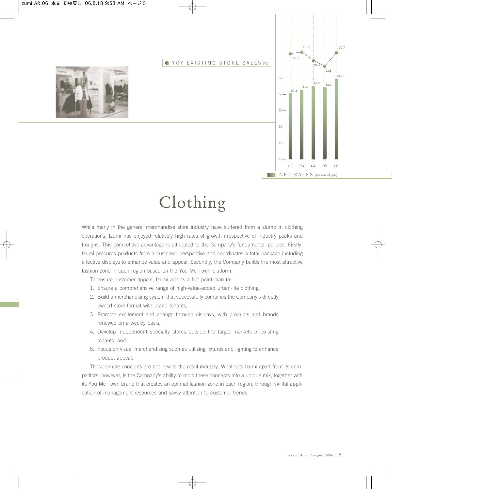#### **YOY EXISTING STORE SALES (%)**





# Clothing

While many in the general merchandise store industry have suffered from a slump in clothing operations, Izumi has enjoyed relatively high rates of growth irrespective of industry peaks and troughs. This competitive advantage is attributed to the Company's fundamental policies. Firstly, Izumi procures products from a customer perspective and coordinates a total package including effective displays to enhance value and appeal. Secondly, the Company builds the most attractive fashion zone in each region based on the You Me Town platform.

To ensure customer appeal, Izumi adopts a five-point plan to:

- 1. Ensure a comprehensive range of high-value-added urban-life clothing,
- 2. Build a merchandising system that successfully combines the Company's directly owned store format with brand tenants,
- 3. Promote excitement and change through displays, with products and brands renewed on a weekly basis,
- 4. Develop independent specialty stores outside the target markets of existing tenants, and
- 5. Focus on visual merchandising such as utilizing fixtures and lighting to enhance product appeal.

These simple concepts are not new to the retail industry. What sets Izumi apart from its competitors, however, is the Company's ability to mold these concepts into a unique mix, together with its You Me Town brand that creates an optimal fashion zone in each region, through skillful application of management resources and savvy attention to customer trends.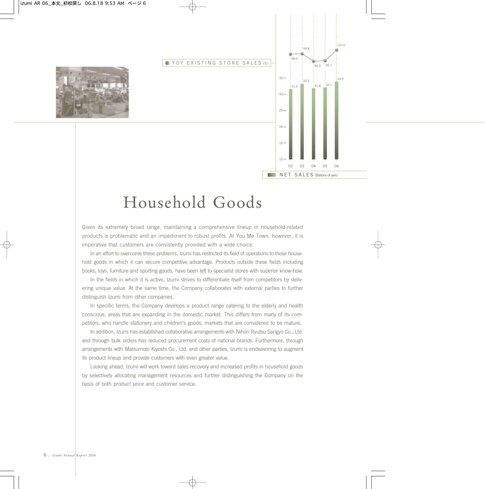



Given its extremely broad range, maintaining a comprehensive lineup in household-related products is problematic and an impediment to robust profits. At You Me Town, however, it is imperative that customers are consistently provided with a wide choice.

In an effort to overcome these problems, Izumi has restricted its field of operations to those household goods in which it can secure competitive advantage. Products outside these fields including books, toys, furniture and sporting goods, have been left to specialist stores with superior know-how.

In the fields in which it is active, Izumi strives to differentiate itself from competitors by delivering unique value. At the same time, the Company collaborates with external parties to further distinguish Izumi from other companies.

In specific terms, the Company develops a product range catering to the elderly and health conscious, areas that are expanding in the domestic market. This differs from many of its competitors, who handle stationery and children's goods, markets that are considered to be mature.

In addition, Izumi has established collaborative arrangements with Nihon Ryutsu Sangyo Co., Ltd. and through bulk orders has reduced procurement costs of national brands. Furthermore, through arrangements with Matsumoto Kiyoshi Co., Ltd. and other parties, Izumi is endeavoring to augment its product lineup and provide customers with even greater value.

Looking ahead, Izumi will work toward sales recovery and increased profits in household goods by selectively allocating management resources and further distinguishing the Company on the basis of both product price and customer service.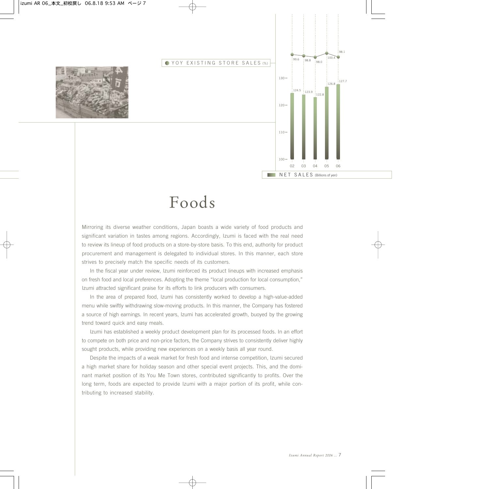**YOY EXISTING STORE SALES (%)** 





# Foods

Mirroring its diverse weather conditions, Japan boasts a wide variety of food products and significant variation in tastes among regions. Accordingly, Izumi is faced with the real need to review its lineup of food products on a store-by-store basis. To this end, authority for product procurement and management is delegated to individual stores. In this manner, each store strives to precisely match the specific needs of its customers.

In the fiscal year under review, Izumi reinforced its product lineups with increased emphasis on fresh food and local preferences. Adopting the theme "local production for local consumption," Izumi attracted significant praise for its efforts to link producers with consumers.

In the area of prepared food, Izumi has consistently worked to develop a high-value-added menu while swiftly withdrawing slow-moving products. In this manner, the Company has fostered a source of high earnings. In recent years, Izumi has accelerated growth, buoyed by the growing trend toward quick and easy meals.

Izumi has established a weekly product development plan for its processed foods. In an effort to compete on both price and non-price factors, the Company strives to consistently deliver highly sought products, while providing new experiences on a weekly basis all year round.

Despite the impacts of a weak market for fresh food and intense competition, Izumi secured a high market share for holiday season and other special event projects. This, and the dominant market position of its You Me Town stores, contributed significantly to profits. Over the long term, foods are expected to provide Izumi with a major portion of its profit, while contributing to increased stability.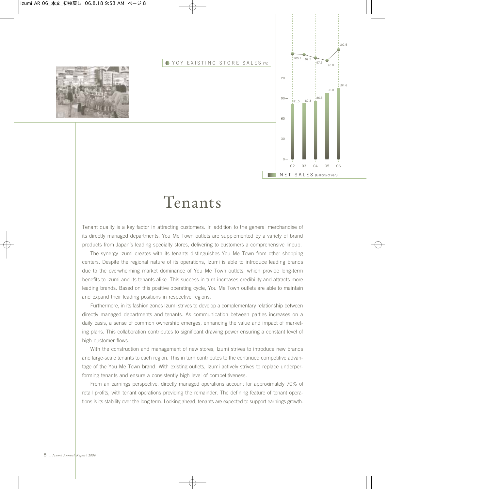#### **YOY EXISTING STORE SALES (%)**





# Tenants

Tenant quality is a key factor in attracting customers. In addition to the general merchandise of its directly managed departments, You Me Town outlets are supplemented by a variety of brand products from Japan's leading specialty stores, delivering to customers a comprehensive lineup.

The synergy Izumi creates with its tenants distinguishes You Me Town from other shopping centers. Despite the regional nature of its operations, Izumi is able to introduce leading brands due to the overwhelming market dominance of You Me Town outlets, which provide long-term benefits to Izumi and its tenants alike. This success in turn increases credibility and attracts more leading brands. Based on this positive operating cycle, You Me Town outlets are able to maintain and expand their leading positions in respective regions.

Furthermore, in its fashion zones Izumi strives to develop a complementary relationship between directly managed departments and tenants. As communication between parties increases on a daily basis, a sense of common ownership emerges, enhancing the value and impact of marketing plans. This collaboration contributes to significant drawing power ensuring a constant level of high customer flows.

With the construction and management of new stores, Izumi strives to introduce new brands and large-scale tenants to each region. This in turn contributes to the continued competitive advantage of the You Me Town brand. With existing outlets, Izumi actively strives to replace underperforming tenants and ensure a consistently high level of competitiveness.

From an earnings perspective, directly managed operations account for approximately 70% of retail profits, with tenant operations providing the remainder. The defining feature of tenant operations is its stability over the long term. Looking ahead, tenants are expected to support earnings growth.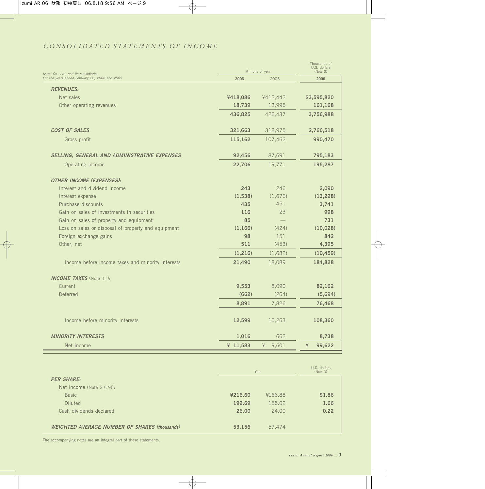# *CONSOLIDATED STATEMENTS OF INCOME*

| Izumi Co., Ltd. and its subsidiaries                |          | Millions of yen | Thousands of<br>U.S. dollars<br>(Note 3) |
|-----------------------------------------------------|----------|-----------------|------------------------------------------|
| For the years ended February 28, 2006 and 2005      | 2006     | 2005            | 2006                                     |
| <b>REVENUES:</b>                                    |          |                 |                                          |
| Net sales                                           | ¥418,086 | ¥412,442        | \$3,595,820                              |
| Other operating revenues                            | 18,739   | 13,995          | 161,168                                  |
|                                                     | 436,825  | 426,437         | 3,756,988                                |
| <b>COST OF SALES</b>                                | 321,663  | 318,975         | 2,766,518                                |
| Gross profit                                        | 115,162  | 107,462         | 990,470                                  |
| SELLING, GENERAL AND ADMINISTRATIVE EXPENSES        | 92,456   | 87,691          | 795,183                                  |
| Operating income                                    | 22,706   | 19,771          | 195,287                                  |
| <b>OTHER INCOME (EXPENSES):</b>                     |          |                 |                                          |
| Interest and dividend income                        | 243      | 246             | 2,090                                    |
| Interest expense                                    | (1,538)  | (1,676)         | (13, 228)                                |
| Purchase discounts                                  | 435      | 451             | 3,741                                    |
| Gain on sales of investments in securities          | 116      | 23              | 998                                      |
| Gain on sales of property and equipment             | 85       |                 | 731                                      |
| Loss on sales or disposal of property and equipment | (1, 166) | (424)           | (10, 028)                                |
| Foreign exchange gains                              | 98       | 151             | 842                                      |
| Other, net                                          | 511      | (453)           | 4,395                                    |
|                                                     | (1,216)  | (1,682)         | (10, 459)                                |
| Income before income taxes and minority interests   | 21,490   | 18,089          | 184,828                                  |
| <b>INCOME TAXES</b> (Note 11):                      |          |                 |                                          |
| Current                                             | 9,553    | 8,090           | 82,162                                   |
| <b>Deferred</b>                                     | (662)    | (264)           | (5,694)                                  |
|                                                     | 8,891    | 7,826           | 76,468                                   |
| Income before minority interests                    | 12,599   | 10,263          | 108,360                                  |
| <b>MINORITY INTERESTS</b>                           | 1,016    | 662             | 8,738                                    |
| Net income                                          | ¥ 11,583 | ¥<br>9,601      | ¥<br>99,622                              |

|                                                      | Yen     |         | U.S. dollars<br>(Note 3) |
|------------------------------------------------------|---------|---------|--------------------------|
| <b>PER SHARE:</b>                                    |         |         |                          |
| Net income (Note $2(19)$ ):                          |         |         |                          |
| <b>Basic</b>                                         | ¥216.60 | ¥166.88 | \$1.86                   |
| <b>Diluted</b>                                       | 192.69  | 155.02  | 1.66                     |
| Cash dividends declared                              | 26.00   | 24.00   | 0.22                     |
|                                                      |         |         |                          |
| <b>WEIGHTED AVERAGE NUMBER OF SHARES (thousands)</b> | 53,156  | 57,474  |                          |

The accompanying notes are an integral part of these statements.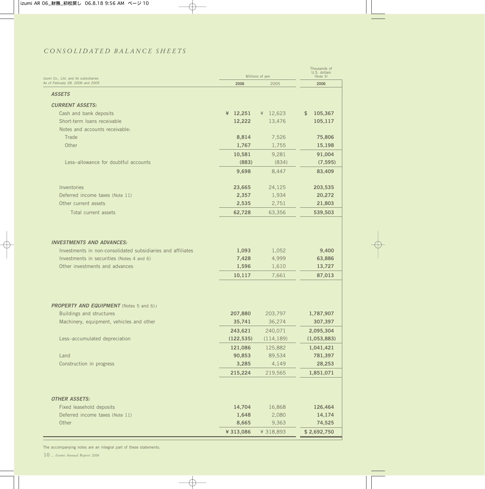# *CONSOLIDATED BALANCE SHEETS*

| Izumi Co., Ltd. and its subsidiaries                        |            | Millions of yen | Thousands of<br>U.S. dollars<br>(Note 3) |
|-------------------------------------------------------------|------------|-----------------|------------------------------------------|
| As of February 28, 2006 and 2005                            | 2006       | 2005            | 2006                                     |
| <b>ASSETS</b>                                               |            |                 |                                          |
| <b>CURRENT ASSETS:</b>                                      |            |                 |                                          |
| Cash and bank deposits                                      | ¥ 12,251   | ¥ 12,623        | 105,367<br>\$                            |
| Short-term loans receivable                                 | 12,222     | 13,476          | 105,117                                  |
| Notes and accounts receivable:                              |            |                 |                                          |
| Trade                                                       | 8,814      | 7,526           | 75,806                                   |
| Other                                                       | 1,767      | 1,755           | 15,198                                   |
|                                                             | 10,581     | 9,281           | 91,004                                   |
| Less-allowance for doubtful accounts                        | (883)      | (834)           | (7, 595)                                 |
|                                                             | 9,698      | 8,447           | 83,409                                   |
|                                                             |            |                 |                                          |
| Inventories                                                 | 23,665     | 24,125          | 203,535                                  |
| Deferred income taxes (Note 11)                             | 2,357      | 1,934           | 20,272                                   |
| Other current assets                                        | 2,535      | 2,751           | 21,803                                   |
| Total current assets                                        | 62,728     | 63,356          | 539,503                                  |
|                                                             |            |                 |                                          |
|                                                             |            |                 |                                          |
| <b>INVESTMENTS AND ADVANCES:</b>                            |            |                 |                                          |
| Investments in non-consolidated subsidiaries and affiliates | 1,093      | 1,052           | 9,400                                    |
| Investments in securities (Notes 4 and 6)                   | 7,428      | 4,999           | 63,886                                   |
| Other investments and advances                              | 1,596      | 1,610           | 13,727                                   |
|                                                             | 10,117     | 7,661           | 87,013                                   |
|                                                             |            |                 |                                          |
| <b>PROPERTY AND EQUIPMENT</b> (Notes 5 and 6):              |            |                 |                                          |
| Buildings and structures                                    | 207,880    | 203,797         | 1,787,907                                |
| Machinery, equipment, vehicles and other                    | 35,741     | 36,274          | 307,397                                  |
|                                                             | 243,621    | 240,071         | 2,095,304                                |
| Less-accumulated depreciation                               | (122, 535) | (114, 189)      | (1,053,883)                              |
|                                                             | 121,086    | 125,882         | 1,041,421                                |
| Land                                                        | 90,853     | 89,534          | 781,397                                  |
| Construction in progress                                    | 3,285      | 4,149           | 28,253                                   |
|                                                             | 215,224    | 219,565         | 1,851,071                                |
|                                                             |            |                 |                                          |
| <b>OTHER ASSETS:</b>                                        |            |                 |                                          |
| Fixed leasehold deposits                                    | 14,704     | 16,868          | 126,464                                  |
| Deferred income taxes (Note 11)                             | 1,648      | 2,080           | 14,174                                   |
| Other                                                       | 8,665      | 9,363           | 74,525                                   |
|                                                             | ¥ 313,086  | ¥ 318,893       | \$2,692,750                              |
|                                                             |            |                 |                                          |

The accompanying notes are an integral part of these statements.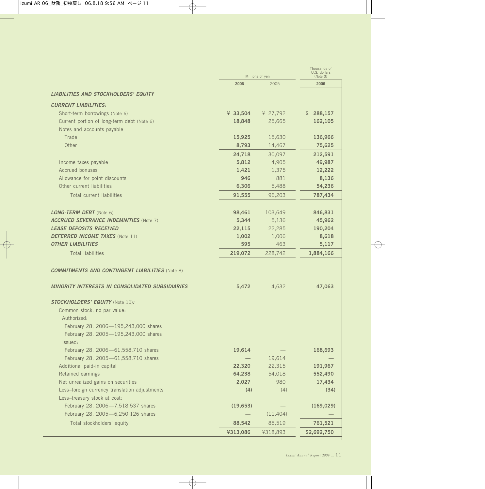|                                                                                 |                 | Millions of yen | Thousands of<br>U.S. dollars<br>(Note 3) |
|---------------------------------------------------------------------------------|-----------------|-----------------|------------------------------------------|
|                                                                                 | 2006            | 2005            | 2006                                     |
| <b>LIABILITIES AND STOCKHOLDERS' EQUITY</b>                                     |                 |                 |                                          |
| <b>CURRENT LIABILITIES:</b>                                                     |                 |                 |                                          |
| Short-term borrowings (Note 6)                                                  | ¥ 33,504        | ¥ 27,792        | \$288,157                                |
| Current portion of long-term debt (Note 6)                                      | 18,848          | 25,665          | 162,105                                  |
| Notes and accounts payable                                                      |                 |                 |                                          |
| Trade                                                                           | 15,925          | 15,630          | 136,966                                  |
| Other                                                                           | 8,793           | 14,467          | 75,625                                   |
|                                                                                 | 24,718          | 30,097          | 212,591                                  |
| Income taxes payable                                                            | 5,812           | 4,905           | 49,987                                   |
| Accrued bonuses                                                                 | 1,421           | 1,375           | 12,222                                   |
| Allowance for point discounts                                                   | 946             | 881             | 8,136                                    |
| Other current liabilities                                                       | 6,306           | 5,488           | 54,236                                   |
| Total current liabilities                                                       | 91,555          | 96,203          | 787,434                                  |
|                                                                                 |                 |                 |                                          |
|                                                                                 |                 |                 |                                          |
| <b>LONG-TERM DEBT</b> (Note 6)                                                  | 98,461          | 103,649         | 846,831                                  |
| <b>ACCRUED SEVERANCE INDEMNITIES (Note 7)</b><br><b>LEASE DEPOSITS RECEIVED</b> | 5,344<br>22,115 | 5,136           | 45,962                                   |
| <b>DEFERRED INCOME TAXES</b> (Note 11)                                          | 1,002           | 22,285          | 190,204                                  |
| <b>OTHER LIABILITIES</b>                                                        | 595             | 1,006<br>463    | 8,618<br>5,117                           |
|                                                                                 |                 |                 |                                          |
| <b>Total liabilities</b>                                                        | 219,072         | 228,742         | 1,884,166                                |
| <b>COMMITMENTS AND CONTINGENT LIABILITIES (Note 8)</b>                          |                 |                 |                                          |
| <b>MINORITY INTERESTS IN CONSOLIDATED SUBSIDIARIES</b>                          | 5,472           | 4,632           | 47,063                                   |
| <b>STOCKHOLDERS' EQUITY (Note 10):</b>                                          |                 |                 |                                          |
| Common stock, no par value:                                                     |                 |                 |                                          |
| Authorized:                                                                     |                 |                 |                                          |
| February 28, 2006-195,243,000 shares                                            |                 |                 |                                          |
| February 28, 2005-195,243,000 shares                                            |                 |                 |                                          |
| Issued:                                                                         |                 |                 |                                          |
| February 28, 2006-61,558,710 shares                                             | 19,614          |                 | 168,693                                  |
| February 28, 2005-61,558,710 shares                                             |                 | 19,614          |                                          |
| Additional paid-in capital                                                      | 22,320          | 22,315          | 191,967                                  |
| Retained earnings                                                               | 64,238          | 54,018          | 552,490                                  |
| Net unrealized gains on securities                                              | 2,027           | 980             | 17,434                                   |
| Less-foreign currency translation adjustments                                   | (4)             | (4)             | (34)                                     |
| Less-treasury stock at cost:                                                    |                 |                 |                                          |
| February 28, 2006-7,518,537 shares                                              | (19, 653)       |                 | (169, 029)                               |
| February 28, 2005-6,250,126 shares                                              |                 | (11,404)        |                                          |
| Total stockholders' equity                                                      | 88,542          | 85,519          | 761,521                                  |
|                                                                                 | ¥313,086        | ¥318,893        | \$2,692,750                              |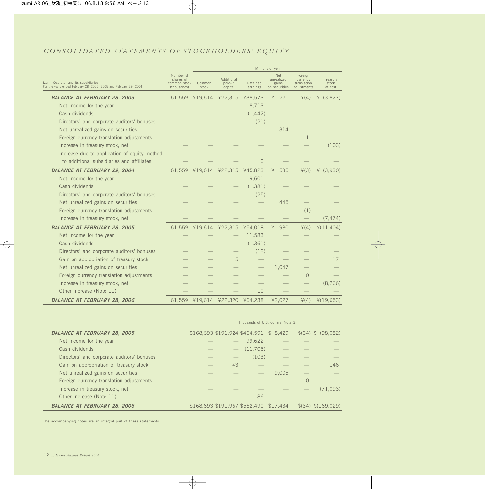# *CONSOLIDATED STATEMENTS OF STOCKHOLDERS' EQUITY*

|                                                                                                           | Millions of yen                                       |                 |                                  |                      |                                                    |                                                   |                              |
|-----------------------------------------------------------------------------------------------------------|-------------------------------------------------------|-----------------|----------------------------------|----------------------|----------------------------------------------------|---------------------------------------------------|------------------------------|
| Izumi Co., Ltd. and its subsidiaries<br>For the years ended February 28, 2006, 2005 and February 29, 2004 | Number of<br>shares of<br>common stock<br>(thousands) | Common<br>stock | Additional<br>paid-in<br>capital | Retained<br>earnings | <b>Net</b><br>unrealized<br>gains<br>on securities | Foreign<br>currency<br>translation<br>adjustments | Treasury<br>stock<br>at cost |
| <b>BALANCE AT FEBRUARY 28, 2003</b>                                                                       |                                                       |                 | 61,559 ¥19,614 ¥22,315           | ¥38,573              | 221<br>¥                                           | $\angle(4)$                                       | (3,827)<br>¥                 |
| Net income for the year                                                                                   |                                                       |                 |                                  | 8,713                |                                                    |                                                   |                              |
| Cash dividends                                                                                            |                                                       |                 |                                  | (1, 442)             |                                                    |                                                   |                              |
| Directors' and corporate auditors' bonuses                                                                |                                                       |                 |                                  | (21)                 |                                                    |                                                   |                              |
| Net unrealized gains on securities                                                                        |                                                       |                 |                                  |                      | 314                                                |                                                   |                              |
| Foreign currency translation adjustments                                                                  |                                                       |                 |                                  |                      |                                                    | $\mathbf{1}$                                      |                              |
| Increase in treasury stock, net                                                                           |                                                       |                 |                                  |                      |                                                    |                                                   | (103)                        |
| Increase due to application of equity method                                                              |                                                       |                 |                                  |                      |                                                    |                                                   |                              |
| to additional subsidiaries and affiliates                                                                 |                                                       |                 |                                  | $\Omega$             |                                                    |                                                   |                              |
| <b>BALANCE AT FEBRUARY 29, 2004</b>                                                                       | 61.559                                                | ¥19,614         | ¥22,315                          | ¥45,823              | 535<br>¥                                           | $*(3)$                                            | 4 (3,930)                    |
| Net income for the year                                                                                   |                                                       |                 |                                  | 9,601                |                                                    |                                                   |                              |
| Cash dividends                                                                                            |                                                       |                 |                                  | (1, 381)             |                                                    |                                                   |                              |
| Directors' and corporate auditors' bonuses                                                                |                                                       |                 |                                  | (25)                 |                                                    |                                                   |                              |
| Net unrealized gains on securities                                                                        |                                                       |                 |                                  |                      | 445                                                |                                                   |                              |
| Foreign currency translation adjustments                                                                  |                                                       |                 |                                  |                      |                                                    | (1)                                               |                              |
| Increase in treasury stock, net                                                                           |                                                       |                 |                                  |                      |                                                    |                                                   | (7, 474)                     |
| <b>BALANCE AT FEBRUARY 28, 2005</b>                                                                       | 61,559                                                | ¥19,614         | ¥22,315                          | ¥54,018              | 980<br>¥                                           | $*(4)$                                            | $*(11,404)$                  |
| Net income for the year                                                                                   |                                                       |                 |                                  | 11,583               |                                                    |                                                   |                              |
| Cash dividends                                                                                            |                                                       |                 |                                  | (1, 361)             |                                                    |                                                   |                              |
| Directors' and corporate auditors' bonuses                                                                |                                                       |                 |                                  | (12)                 |                                                    |                                                   |                              |
| Gain on appropriation of treasury stock                                                                   |                                                       |                 | 5                                |                      |                                                    |                                                   | 17                           |
| Net unrealized gains on securities                                                                        |                                                       |                 |                                  |                      | 1.047                                              |                                                   |                              |
| Foreign currency translation adjustments                                                                  |                                                       |                 |                                  |                      |                                                    | $\Omega$                                          |                              |
| Increase in treasury stock, net                                                                           |                                                       |                 |                                  |                      |                                                    |                                                   | (8, 266)                     |
| Other increase (Note 11)                                                                                  |                                                       |                 |                                  | 10                   |                                                    |                                                   |                              |
| <b>BALANCE AT FEBRUARY 28, 2006</b>                                                                       |                                                       |                 | 61,559 ¥19,614 ¥22,320 ¥64,238   |                      | ¥2,027                                             | $\angle(4)$                                       | $*(19,653)$                  |

|                                            | Thousands of U.S. dollars (Note 3) |                   |                               |          |          |                    |
|--------------------------------------------|------------------------------------|-------------------|-------------------------------|----------|----------|--------------------|
| <b>BALANCE AT FEBRUARY 28, 2005</b>        |                                    |                   | \$168,693 \$191,924 \$464,591 | \$8.429  |          | \$(34) \$ (98,082) |
| Net income for the year                    |                                    |                   | 99,622                        |          |          |                    |
| Cash dividends                             |                                    | $\qquad \qquad -$ | (11.706)                      |          |          |                    |
| Directors' and corporate auditors' bonuses |                                    |                   | (103)                         |          |          |                    |
| Gain on appropriation of treasury stock    |                                    | 43                |                               |          |          | 146                |
| Net unrealized gains on securities         |                                    |                   |                               | 9.005    |          |                    |
| Foreign currency translation adjustments   |                                    |                   |                               |          | $\Omega$ |                    |
| Increase in treasury stock, net            |                                    |                   |                               |          |          | (71.093)           |
| Other increase (Note 11)                   |                                    |                   | 86                            |          |          |                    |
| <b>BALANCE AT FEBRUARY 28, 2006</b>        |                                    |                   | \$168,693 \$191,967 \$552,490 | \$17.434 |          | \$(34) \$(169,029) |

The accompanying notes are an integral part of these statements.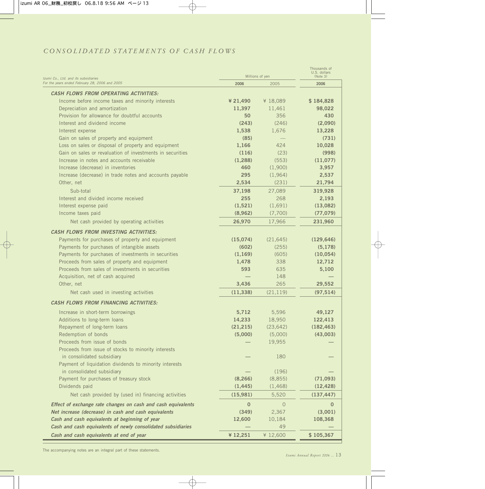## *CONSOLIDATED STATEMENTS OF CASH FLOWS*

| Izumi Co., Ltd. and its subsidiaries                         |             | Millions of yen | Thousands of<br>U.S. dollars<br>(Note 3) |
|--------------------------------------------------------------|-------------|-----------------|------------------------------------------|
| For the years ended February 28, 2006 and 2005               | 2006        | 2005            | 2006                                     |
| <b>CASH FLOWS FROM OPERATING ACTIVITIES:</b>                 |             |                 |                                          |
| Income before income taxes and minority interests            | ¥ 21,490    | ¥ 18,089        | \$184,828                                |
| Depreciation and amortization                                | 11,397      | 11,461          | 98,022                                   |
| Provision for allowance for doubtful accounts                | 50          | 356             | 430                                      |
| Interest and dividend income                                 | (243)       | (246)           | (2,090)                                  |
| Interest expense                                             | 1,538       | 1,676           | 13,228                                   |
| Gain on sales of property and equipment                      | (85)        |                 | (731)                                    |
| Loss on sales or disposal of property and equipment          | 1,166       | 424             | 10,028                                   |
| Gain on sales or revaluation of investments in securities    | (116)       | (23)            | (998)                                    |
| Increase in notes and accounts receivable                    | (1, 288)    | (553)           | (11, 077)                                |
| Increase (decrease) in inventories                           | 460         | (1,900)         | 3,957                                    |
| Increase (decrease) in trade notes and accounts payable      | 295         | (1,964)         | 2,537                                    |
| Other, net                                                   | 2,534       | (231)           | 21,794                                   |
| Sub-total                                                    | 37,198      | 27,089          | 319,928                                  |
| Interest and divided income received                         | 255         | 268             | 2,193                                    |
| Interest expense paid                                        | (1,521)     | (1,691)         | (13,082)                                 |
| Income taxes paid                                            | (8,962)     | (7,700)         | (77, 079)                                |
| Net cash provided by operating activities                    | 26,970      | 17,966          | 231,960                                  |
| <b>CASH FLOWS FROM INVESTING ACTIVITIES:</b>                 |             |                 |                                          |
| Payments for purchases of property and equipment             | (15,074)    | (21, 645)       | (129, 646)                               |
| Payments for purchases of intangible assets                  | (602)       | (255)           | (5, 178)                                 |
| Payments for purchases of investments in securities          | (1, 169)    | (605)           | (10, 054)                                |
| Proceeds from sales of property and equipment                | 1,478       | 338             | 12,712                                   |
| Proceeds from sales of investments in securities             | 593         | 635             | 5,100                                    |
| Acquisition, net of cash acquired                            |             | 148             |                                          |
| Other, net                                                   | 3,436       | 265             | 29,552                                   |
| Net cash used in investing activities                        | (11, 338)   | (21, 119)       | (97, 514)                                |
| <b>CASH FLOWS FROM FINANCING ACTIVITIES:</b>                 |             |                 |                                          |
| Increase in short-term borrowings                            | 5,712       | 5,596           | 49,127                                   |
| Additions to long-term loans                                 | 14,233      | 18,950          | 122,413                                  |
| Repayment of long-term loans                                 | (21, 215)   | (23, 642)       | (182, 463)                               |
| Redemption of bonds                                          | (5,000)     | (5,000)         | (43,003)                                 |
| Proceeds from issue of bonds                                 |             | 19,955          |                                          |
| Proceeds from issue of stocks to minority interests          |             |                 |                                          |
| in consolidated subsidiary                                   |             | 180             |                                          |
| Payment of liquidation dividends to minority interests       |             |                 |                                          |
| in consolidated subsidiary                                   |             | (196)           |                                          |
| Payment for purchases of treasury stock                      | (8, 266)    | (8, 855)        | (71,093)                                 |
| Dividends paid                                               | (1, 445)    | (1, 468)        | (12, 428)                                |
| Net cash provided by (used in) financing activities          | (15, 981)   | 5,520           | (137, 447)                               |
| Effect of exchange rate changes on cash and cash equivalents | $\mathbf 0$ | $\circ$         | $\mathbf 0$                              |
| Net increase (decrease) in cash and cash equivalents         | (349)       | 2,367           | (3,001)                                  |
| Cash and cash equivalents at beginning of year               | 12,600      | 10,184          | 108,368                                  |
| Cash and cash equivalents of newly consolidated subsidiaries |             | 49              |                                          |
| Cash and cash equivalents at end of year                     | ¥12,251     | ¥ 12,600        | \$105,367                                |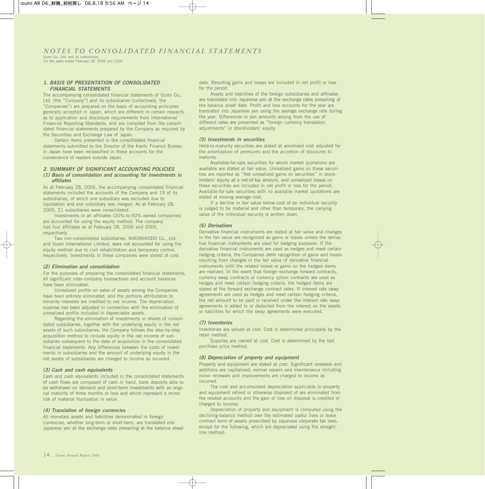### *NOTES TO CONSOLIDATED FINANCIAL STATEMENTS*

*Izumi Co., Ltd. and its subsidiaries For the years ended February 28, 2006 and 2005*

#### *1. BASIS OF PRESENTATION OF CONSOLIDATED FINANCIAL STATEMENTS*

The accompanying consolidated financial statements of Izumi Co., Ltd. (the "Company") and its subsidiaries (collectively, the "Companies") are prepared on the basis of accounting principles generally accepted in Japan, which are different in certain respects as to application and disclosure requirements from International Financial Reporting Standards, and are compiled from the consolidated financial statements prepared by the Company as required by the Securities and Exchange Law of Japan.

Certain items presented in the consolidated financial statements submitted to the Director of the Kanto Finance Bureau in Japan have been reclassified in these accounts for the convenience of readers outside Japan.

#### *2. SUMMARY OF SIGNIFICANT ACCOUNTING POLICIES (1) Basis of consolidation and accounting for investments in affiliates*

As at February 28, 2006, the accompanying consolidated financial statements included the accounts of the Company and 19 of its subsidiaries, of which one subsidiary was excluded due to liquidation and one subsidiary was merged. As at February 28, 2005, 21 subsidiaries were consolidated.

Investments in all affiliates (20%-to-50% owned companies) are accounted for using the equity method. The company had four affiliates as at February 28, 2006 and 2005, respectively.

Two non-consolidated subsidiaries, NIKONIKODO Co., Ltd. and Izumi International Limited, were not accounted for using the equity method due to civil rehabilitation and temporary control, respectively. Investments in these companies were stated at cost.

#### *(2) Elimination and consolidation*

For the purposes of preparing the consolidated financial statements, all significant inter-company transactions and account balances have been eliminated.

Unrealized profits on sales of assets among the Companies have been entirely eliminated, and the portions attributable to minority interests are credited to net income. The depreciation expense has been adjusted in connection with the elimination of unrealized profits included in depreciable assets.

Regarding the elimination of investments in shares of consolidated subsidiaries, together with the underlying equity in the net assets of such subsidiaries, the Company follows the step-by-step acquisition method to include equity in the net income of subsidiaries subsequent to the date of acquisition in the consolidated financial statements. Any differences between the costs of investments in subsidiaries and the amount of underlying equity in the net assets of subsidiaries are charged to income as incurred.

#### *(3) Cash and cash equivalents*

Cash and cash equivalents included in the consolidated statements of cash flows are composed of cash in hand, bank deposits able to be withdrawn on demand and short-term investments with an original maturity of three months or less and which represent a minor risk of material fluctuation in value.

#### *(4) Translation of foreign currencies*

All monetary assets and liabilities denominated in foreign currencies, whether long-term or short-term, are translated into Japanese yen at the exchange rates prevailing at the balance sheet date. Resulting gains and losses are included in net profit or loss for the period.

Assets and liabilities of the foreign subsidiaries and affiliates are translated into Japanese yen at the exchange rates prevailing at the balance sheet date. Profit and loss accounts for the year are translated into Japanese yen using the average exchange rate during the year. Differences in yen amounts arising from the use of different rates are presented as "foreign currency translation adjustments" in stockholders' equity.

#### *(5) Investments in securities*

Held-to-maturity securities are stated at amortized cost adjusted for the amortization of premiums and the accretion of discounts to maturity.

Available-for-sale securities for which market quotations are available are stated at fair value. Unrealized gains on these securities are reported as "Net unrealized gains on securities" in stockholders' equity at a net-of-tax amount, and unrealized losses on these securities are included in net profit or loss for the period. Available-for-sale securities with no available market quotations are stated at moving average cost.

If a decline in fair value below cost of an individual security is judged to be material and other than temporary, the carrying value of the individual security is written down.

#### *(6) Derivatives*

Derivative financial instruments are stated at fair value and changes in the fair value are recognized as gains or losses unless the derivative financial instruments are used for hedging purposes. If the derivative financial instruments are used as hedges and meet certain hedging criteria, the Companies defer recognition of gains and losses resulting from changes in the fair value of derivative financial instruments until the related losses or gains on the hedged items are realized. In the event that foreign exchange forward contracts, currency swap contracts or currency option contracts are used as hedges and meet certain hedging criteria, the hedged items are stated at the forward exchange contract rates. If interest rate swap agreements are used as hedges and meet certain hedging criteria, the net amount to be paid or received under the interest rate swap agreements is added to or deducted from the interest on the assets or liabilities for which the swap agreements were executed.

#### *(7) Inventories*

Inventories are valued at cost. Cost is determined principally by the retail method.

Supplies are carried at cost. Cost is determined by the last purchase price method.

#### *(8) Depreciation of property and equipment*

Property and equipment are stated at cost. Significant renewals and additions are capitalized; normal repairs and maintenance including minor renewals and improvements are charged to income as incurred.

The cost and accumulated depreciation applicable to property and equipment retired or otherwise disposed of are eliminated from the related accounts and the gain or loss on disposal is credited or charged to income.

Depreciation of property and equipment is computed using the declining-balance method over the estimated useful lives or lease contract term of assets prescribed by Japanese corporate tax laws, except for the following, which are depreciated using the straightline method: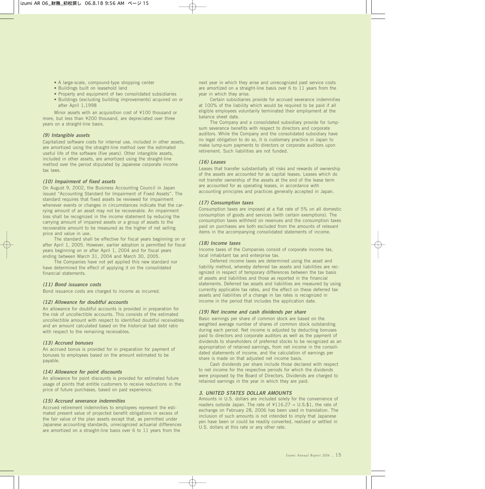- A large-scale, compound-type shopping center
- Buildings built on leasehold land
- Property and equipment of two consolidated subsidiaries
- Buildings (excluding building improvements) acquired on or after April 1,1998

Minor assets with an acquisition cost of ¥100 thousand or more, but less than ¥200 thousand, are depreciated over three years on a straight-line basis.

#### *(9) Intangible assets*

Capitalized software costs for internal use, included in other assets, are amortized using the straight-line method over the estimated useful life of the software (five years). Other intangible assets, included in other assets, are amortized using the straight-line method over the period stipulated by Japanese corporate income tax laws.

#### *(10) Impairment of fixed assets*

On August 9, 2002, the Business Accounting Council in Japan issued "Accounting Standard for Impairment of Fixed Assets". The standard requires that fixed assets be reviewed for impairment whenever events or changes in circumstances indicate that the carrying amount of an asset may not be recoverable. An impairment loss shall be recognized in the income statement by reducing the carrying amount of impaired assets or a group of assets to the recoverable amount to be measured as the higher of net selling price and value in use.

The standard shall be effective for fiscal years beginning on or after April 1, 2005. However, earlier adoption is permitted for fiscal years beginning on or after April 1, 2004 and for fiscal years ending between March 31, 2004 and March 30, 2005.

The Companies have not yet applied this new standard nor have determined the effect of applying it on the consolidated financial statements.

#### *(11) Bond issuance costs*

Bond issuance costs are charged to income as incurred.

#### *(12) Allowance for doubtful accounts*

An allowance for doubtful accounts is provided in preparation for the risk of uncollectible accounts. This consists of the estimated uncollectible amount with respect to identified doubtful receivables and an amount calculated based on the historical bad debt ratio with respect to the remaining receivables.

#### *(13) Accrued bonuses*

An accrued bonus is provided for in preparation for payment of bonuses to employees based on the amount estimated to be payable.

#### *(14) Allowance for point discounts*

An allowance for point discounts is provided for estimated future usage of points that entitle customers to receive reductions in the price of future purchases, based on past experience.

#### *(15) Accrued severance indemnities*

Accrued retirement indemnities to employees represent the estimated present value of projected benefit obligations in excess of the fair value of the plan assets except that, as permitted under Japanese accounting standards, unrecognized actuarial differences are amortized on a straight-line basis over 6 to 11 years from the

next year in which they arise and unrecognized past service costs are amortized on a straight-line basis over 6 to 11 years from the year in which they arise.

Certain subsidiaries provide for accrued severance indemnities at 100% of the liability which would be required to be paid if all eligible employees voluntarily terminated their employment at the balance sheet date.

The Company and a consolidated subsidiary provide for lumpsum severance benefits with respect to directors and corporate auditors. While the Company and the consolidated subsidiary have no legal obligation to do so, it is customary practice in Japan to make lump-sum payments to directors or corporate auditors upon retirement. Such liabilities are not funded.

#### *(16) Leases*

Leases that transfer substantially all risks and rewards of ownership of the assets are accounted for as capital leases. Leases which do not transfer ownership of the assets at the end of the lease term are accounted for as operating leases, in accordance with accounting principles and practices generally accepted in Japan.

#### *(17) Consumption taxes*

Consumption taxes are imposed at a flat rate of 5% on all domestic consumption of goods and services (with certain exemptions). The consumption taxes withheld on revenues and the consumption taxes paid on purchases are both excluded from the amounts of relevant items in the accompanying consolidated statements of income.

#### *(18) Income taxes*

Income taxes of the Companies consist of corporate income tax, local inhabitant tax and enterprise tax.

Deferred income taxes are determined using the asset and liability method, whereby deferred tax assets and liabilities are recognized in respect of temporary differences between the tax basis of assets and liabilities and those as reported in the financial statements. Deferred tax assets and liabilities are measured by using currently applicable tax rates, and the effect on these deferred tax assets and liabilities of a change in tax rates is recognized in income in the period that includes the application date.

#### *(19) Net income and cash dividends per share*

Basic earnings per share of common stock are based on the weighted average number of shares of common stock outstanding during each period. Net income is adjusted by deducting bonuses paid to directors and corporate auditors as well as the payment of dividends to shareholders of preferred stocks to be recognized as an appropriation of retained earnings, from net income in the consolidated statements of income, and the calculation of earnings per share is made on that adjusted net income basis.

Cash dividends per share include those declared with respect to net income for the respective periods for which the dividends were proposed by the Board of Directors. Dividends are charged to retained earnings in the year in which they are paid.

#### *3. UNITED STATES DOLLAR AMOUNTS*

Amounts in U.S. dollars are included solely for the convenience of readers outside Japan. The rate of  $4116.27 = U.S.\$ \$1, the rate of exchange on February 28, 2006 has been used in translation. The inclusion of such amounts is not intended to imply that Japanese yen have been or could be readily converted, realized or settled in U.S. dollars at this rate or any other rate.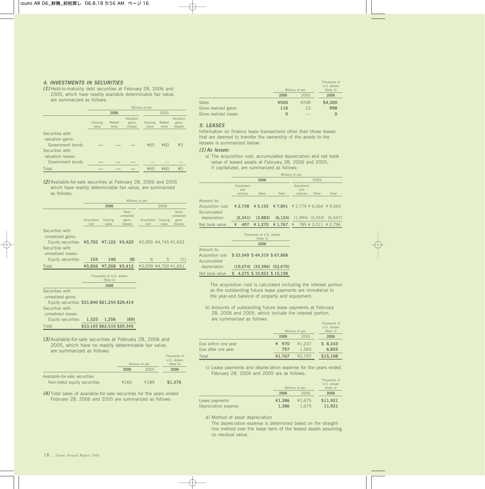#### *4. INVESTMENTS IN SECURITIES*

*(1)* Held-to-maturity debt securities at February 28, 2006 and 2005, which have readily available determinable fair value, are summarized as follows:

|                                                                                                                     |                   | Millions of yen |                                |                   |                 |                                |  |
|---------------------------------------------------------------------------------------------------------------------|-------------------|-----------------|--------------------------------|-------------------|-----------------|--------------------------------|--|
|                                                                                                                     |                   | 2006            |                                |                   | 2005            |                                |  |
|                                                                                                                     | Carrying<br>value | Market<br>value | Valuation<br>gains<br>(losses) | Carrying<br>value | Market<br>value | Valuation<br>gains<br>(losses) |  |
| Securities with<br>valuation gains:<br>Government bonds<br>Securities with<br>valuation losses:<br>Government bonds |                   |                 |                                | ¥60               | ¥60             | ¥O                             |  |
| Total                                                                                                               |                   |                 |                                | ¥60               | ¥60             | ¥Ω                             |  |

*(2)* Available-for-sale securities at February 28, 2006 and 2005 which have readily determinable fair value, are summarized as follows:

|                                                                                                                         |                     | Millions of yen                         |                                          |                      |                   |                                          |  |  |
|-------------------------------------------------------------------------------------------------------------------------|---------------------|-----------------------------------------|------------------------------------------|----------------------|-------------------|------------------------------------------|--|--|
|                                                                                                                         |                     | 2006                                    |                                          |                      | 2005              |                                          |  |  |
|                                                                                                                         | Acquisition<br>cost | Carrying<br>value                       | Gross<br>unrealized<br>gains<br>(losses) | Acquisition<br>cost  | Carrying<br>value | Gross<br>unrealized<br>gains<br>(losses) |  |  |
| Securities with<br>unrealized gains:<br>Equity securities ¥3,702 ¥7,122 ¥3,420<br>Securities with<br>unrealized losses: |                     |                                         |                                          | ¥3.093 ¥4.745 ¥1.652 |                   |                                          |  |  |
| Equity securities                                                                                                       | 154                 | 146                                     | (8)                                      | 6                    | 5                 | (1)                                      |  |  |
| Total                                                                                                                   | ¥3.856              | ¥7.268                                  | ¥3.412                                   | ¥3.099 ¥4.750 ¥1.651 |                   |                                          |  |  |
|                                                                                                                         |                     | Thousands of U.S. dollars<br>$(N0+0 2)$ |                                          |                      |                   |                                          |  |  |

|  | 2006  |                                                                                                 |
|--|-------|-------------------------------------------------------------------------------------------------|
|  |       |                                                                                                 |
|  |       |                                                                                                 |
|  |       |                                                                                                 |
|  |       |                                                                                                 |
|  |       |                                                                                                 |
|  | 1.256 | (69)                                                                                            |
|  |       |                                                                                                 |
|  |       | (Note 3)<br>Equity securities \$31,840 \$61,254 \$29,414<br>1.325<br>\$33,165 \$62,510 \$29,345 |

*(3)* Available-for-sale securities at February 28, 2006 and 2005, which have no readily determinable fair value, are summarized as follows:

|                                                               |      | Millions of yen | Thousands of<br>U.S. dollars<br>(Note 3) |
|---------------------------------------------------------------|------|-----------------|------------------------------------------|
|                                                               | 2006 | 2005            | 2006                                     |
| Available-for-sale securities<br>Non-listed equity securities | ¥160 | ¥189            | \$1,376                                  |

*(4)* Total sales of available-for-sale securities for the years ended February 28, 2006 and 2005 are summarized as follows:

|                       |      | Millions of yen | Thousands of<br>U.S. dollars<br>(Note 3) |
|-----------------------|------|-----------------|------------------------------------------|
|                       | 2006 | 2005            | 2006                                     |
| <b>Sales</b>          | ¥500 | ¥208            | \$4,300                                  |
| Gross realized gains  | 116  | 23              | 998                                      |
| Gross realized losses | 0    |                 | O                                        |

#### *5. LEASES*

Information on finance lease transactions other than those leases that are deemed to transfer the ownership of the assets to the lessees is summarized below:

#### *(1) As lessee:*

a) The acquisition cost, accumulated depreciation and net book value of leased assets at February 28, 2006 and 2005, if capitalized, are summarized as follows:

|                                 |                              |                                       |                                  | Millions of yen                                                                                                   |       |                               |
|---------------------------------|------------------------------|---------------------------------------|----------------------------------|-------------------------------------------------------------------------------------------------------------------|-------|-------------------------------|
|                                 |                              | 2006                                  |                                  | 2005                                                                                                              |       |                               |
|                                 | Equipment<br>and<br>vehicles | Other                                 | Total                            | Equipment<br>and<br>vehicles                                                                                      | Other | Total                         |
| Amount to:                      |                              |                                       |                                  |                                                                                                                   |       |                               |
| Acquisition cost<br>Accumulated |                              |                                       |                                  | $\texttt{\#}2,738$ $\texttt{\#}5,153$ $\texttt{\#}7,891$ $\texttt{\#}2,779$ $\texttt{\#}6,564$ $\texttt{\#}9,343$ |       |                               |
| depreciation                    | (2.241)                      | (3,883)                               | (6, 124)                         |                                                                                                                   |       | $(1,994)$ $(4,553)$ $(6,547)$ |
| Net book value                  | ¥<br>497                     | ¥1,270                                |                                  | $\textbf{\texttt{4}} 1,767 \text{ \texttt{4}} 785 \text{ \texttt{4}} 2,011 \text{ \texttt{4}} 2,796$              |       |                               |
|                                 |                              | Thousands of U.S. dollars<br>(Note 3) |                                  |                                                                                                                   |       |                               |
|                                 |                              | 2006                                  |                                  |                                                                                                                   |       |                               |
| Amount to:                      |                              |                                       |                                  |                                                                                                                   |       |                               |
| Acquisition cost                | \$23,549 \$44,319 \$67,868   |                                       |                                  |                                                                                                                   |       |                               |
| Accumulated                     |                              |                                       |                                  |                                                                                                                   |       |                               |
| depreciation                    |                              |                                       | $(19,274)$ $(33,396)$ $(52,670)$ |                                                                                                                   |       |                               |
| Net book value                  | \$                           | 4.275 \$10.923 \$15.198               |                                  |                                                                                                                   |       |                               |

The acquisition cost is calculated including the interest portion as the outstanding future lease payments are immaterial to the year-end balance of property and equipment.

b) Amounts of outstanding future lease payments at February 28, 2006 and 2005, which include the interest portion, are summarized as follows:

|                     |        | Millions of yen | Thousands of<br>U.S. dollars<br>(Note 3) |
|---------------------|--------|-----------------|------------------------------------------|
|                     | 2006   | 2005            | 2006                                     |
| Due within one year | ¥ 970  | ¥1.237          | \$8,343                                  |
| Due after one year  | 797    | 1.560           | 6,855                                    |
| Total               | ¥1,767 | ¥2.797          | \$15,198                                 |

c) Lease payments and depreciation expense for the years ended February 28, 2006 and 2005 are as follows:

|                      |        | Millions of yen |          |  |
|----------------------|--------|-----------------|----------|--|
|                      | 2006   | 2005            | 2006     |  |
| Lease payments       | ¥1.386 | ¥1.675          | \$11,921 |  |
| Depreciation expense | 1.386  | 1.675           | 11.921   |  |

d) Method of asset depreciation

The depreciation expense is determined based on the straightline method over the lease term of the leased assets assuming no residual value.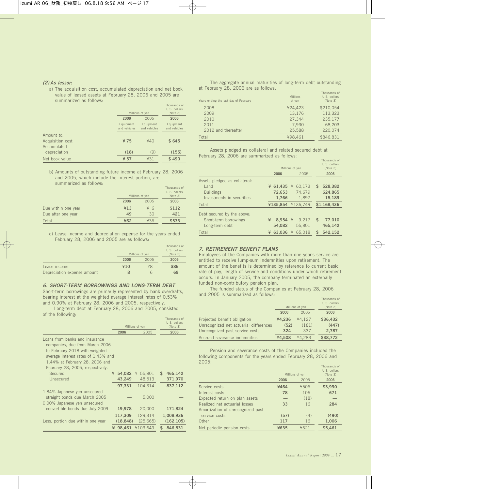#### *(2) As lessor:*

a) The acquisition cost, accumulated depreciation and net book value of leased assets at February 28, 2006 and 2005 are summarized as follows:

|                                 |                           | Millions of yen           | Thousands of<br>U.S. dollars<br>(Note 3) |
|---------------------------------|---------------------------|---------------------------|------------------------------------------|
|                                 | 2006                      | 2005                      | 2006                                     |
|                                 | Equipment<br>and vehicles | Equipment<br>and vehicles | Equipment<br>and vehicles                |
| Amount to:                      |                           |                           |                                          |
| Acquisition cost<br>Accumulated | ¥75                       | 440                       | \$645                                    |
| depreciation                    | (18)                      | (9)                       | (155)                                    |
| Net book value                  | ¥ 57                      | ¥31                       | \$490                                    |

b) Amounts of outstanding future income at February 28, 2006 and 2005, which include the interest portion, are summarized as follows:

|                     |      | Millions of yen | Thousands of<br>U.S. dollars<br>(Note 3) |
|---------------------|------|-----------------|------------------------------------------|
|                     | 2006 | 2005            | 2006                                     |
| Due within one year | ¥13  | ¥ 6             | \$112                                    |
| Due after one year  | 49   | 30              | 421                                      |
| Total               | ¥62  | ¥36             | \$533                                    |

c) Lease income and depreciation expense for the years ended February 28, 2006 and 2005 are as follows:

|                             |      | Millions of yen | Thousands of<br>U.S. dollars<br>(Note 3) |
|-----------------------------|------|-----------------|------------------------------------------|
|                             | 2006 | 2005            | 2006                                     |
| Lease income                | ¥10  | ¥8              | \$86                                     |
| Depreciation expense amount |      | h               | 69                                       |

*6. SHORT-TERM BORROWINGS AND LONG-TERM DEBT* Short-term borrowings are primarily represented by bank overdrafts, bearing interest at the weighted average interest rates of 0.53% and 0.90% at February 28, 2006 and 2005, respectively.

Long-term debt at February 28, 2006 and 2005, consisted of the following:

|                                                                                                                                                                                                                 |   | Millions of yen      |                 |                     | Thousands of<br>U.S. dollars<br>(Note 3) |
|-----------------------------------------------------------------------------------------------------------------------------------------------------------------------------------------------------------------|---|----------------------|-----------------|---------------------|------------------------------------------|
|                                                                                                                                                                                                                 |   | 2006                 |                 | 2005                | 2006                                     |
| Loans from banks and insurance<br>companies, due from March 2006<br>to February 2018 with weighted<br>average interest rates of 1.43% and<br>1.44% at February 28, 2006 and<br>February 28, 2005, respectively. |   |                      |                 |                     |                                          |
| Secured                                                                                                                                                                                                         | ¥ |                      | 54.082 ¥ 55.801 |                     | \$<br>465,142                            |
| Unsecured                                                                                                                                                                                                       |   | 43,249               |                 | 48,513              | 371,970                                  |
|                                                                                                                                                                                                                 |   | 97.331               |                 | 104.314             | 837,112                                  |
| 1.84% Japanese yen unsecured<br>straight bonds due March 2005<br>0.00% Japanese yen unsecured                                                                                                                   |   |                      |                 | 5,000               |                                          |
| convertible bonds due July 2009                                                                                                                                                                                 |   | 19,978               |                 | 20,000              | 171,824                                  |
| Less, portion due within one year                                                                                                                                                                               |   | 117,309<br>(18, 848) |                 | 129,314<br>(25,665) | 1,008,936<br>(162, 105)                  |
|                                                                                                                                                                                                                 |   | ¥ 98.461             | ¥103.649        |                     | \$<br>846.831                            |

#### The aggregate annual maturities of long-term debt outstanding at February 28, 2006 are as follows:

| Years ending the last day of February | <b>Millions</b><br>of yen | Thousands of<br>U.S. dollars<br>(Note 3) |
|---------------------------------------|---------------------------|------------------------------------------|
| 2008                                  | ¥24.423                   | \$210.054                                |
| 2009                                  | 13.176                    | 113.323                                  |
| 2010                                  | 27.344                    | 235,177                                  |
| 2011                                  | 7.930                     | 68.203                                   |
| 2012 and thereafter                   | 25.588                    | 220.074                                  |
| Total                                 | ¥98.461                   | \$846.831                                |

Assets pledged as collateral and related secured debt at February 28, 2006 are summarized as follows:

|                               | Millions of yen | Thousands of<br>U.S. dollars<br>(Note 3) |               |
|-------------------------------|-----------------|------------------------------------------|---------------|
|                               | 2006            | 2005                                     | 2006          |
| Assets pledged as collateral: |                 |                                          |               |
| $L$ and                       | ¥ 61.435        | 60.173<br>¥                              | 528,382<br>\$ |
| <b>Buildings</b>              | 72.653          | 74.679                                   | 624,865       |
| Investments in securities     | 1.766           | 1.897                                    | 15.189        |
| Total                         | ¥135.854        | ¥136.749                                 | \$1.168.436   |
| Debt secured by the above:    |                 |                                          |               |
| Short-term borrowings         | ¥<br>8.954      | 9.217<br>$\frac{1}{2}$                   | \$<br>77.010  |
| Long-term debt                | 54,082          | 55.801                                   | 465,142       |
| Total                         | 63.036<br>¥     | ¥<br>65.018                              | 542.152<br>\$ |

#### *7. RETIREMENT BENEFIT PLANS*

Employees of the Companies with more than one year's service are entitled to receive lump-sum indemnities upon retirement. The amount of the benefits is determined by reference to current basic rate of pay, length of service and conditions under which retirement occurs. In January 2005, the company terminated an externally funded non-contributory pension plan.

The funded status of the Companies at February 28, 2006 and 2005 is summarized as follows:

|                                        |        | Millions of yen | Thousands of<br>U.S. dollars<br>(Note 3) |
|----------------------------------------|--------|-----------------|------------------------------------------|
|                                        | 2006   | 2005            | 2006                                     |
| Projected benefit obligation           | ¥4.236 | ¥4.127          | \$36,432                                 |
| Unrecognized net actuarial differences | (52)   | (181)           | (447)                                    |
| Unrecognized past service costs        | 324    | 337             | 2,787                                    |
| Accrued severance indemnities          | ¥4.508 | ¥4.283          | \$38,772                                 |

Pension and severance costs of the Companies included the following components for the years ended February 28, 2006 and 2005:

|                                   |      | Millions of yen | Thousands of<br>U.S. dollars<br>(Note 3) |
|-----------------------------------|------|-----------------|------------------------------------------|
|                                   | 2006 | 2005            | 2006                                     |
| Service costs                     | ¥464 | ¥506            | \$3,990                                  |
| Interest costs                    | 78   | 105             | 671                                      |
| Expected return on plan assets    |      | (18)            |                                          |
| Realized net actuarial losses     | 33   | 16              | 284                                      |
| Amortization of unrecognized past |      |                 |                                          |
| service costs                     | (57) | (4)             | (490)                                    |
| Other                             | 117  | 16              | 1,006                                    |
| Net periodic pension costs        | ¥635 | ¥621            | \$5.461                                  |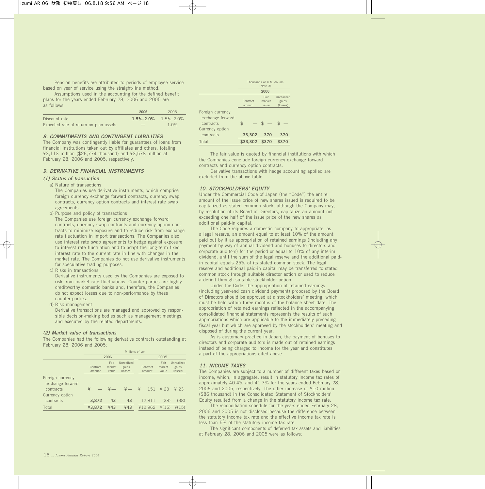Pension benefits are attributed to periods of employee service based on year of service using the straight-line method.

Assumptions used in the accounting for the defined benefit plans for the years ended February 28, 2006 and 2005 are as follows:

|                                        | 2006                            | 2005    |
|----------------------------------------|---------------------------------|---------|
| Discount rate                          | $1.5\% - 2.0\%$ $1.5\% - 2.0\%$ |         |
| Expected rate of return on plan assets | $-$                             | $1.0\%$ |

#### *8. COMMITMENTS AND CONTINGENT LIABILITIES*

The Company was contingently liable for guarantees of loans from financial institutions taken out by affiliates and others, totaling ¥3,113 million (\$26,774 thousand) and ¥3,578 million at February 28, 2006 and 2005, respectively.

#### *9. DERIVATIVE FINANCIAL INSTRUMENTS*

#### *(1) Status of transaction*

#### a) Nature of transactions

The Companies use derivative instruments, which comprise foreign currency exchange forward contracts, currency swap contracts, currency option contracts and interest rate swap agreements.

b) Purpose and policy of transactions

The Companies use foreign currency exchange forward contracts, currency swap contracts and currency option contracts to minimize exposure and to reduce risk from exchange rate fluctuation in import transactions. The Companies also use interest rate swap agreements to hedge against exposure to interest rate fluctuation and to adapt the long-term fixed interest rate to the current rate in line with changes in the market rate. The Companies do not use derivative instruments for speculative trading purposes.

c) Risks in transactions

Derivative instruments used by the Companies are exposed to risk from market rate fluctuations. Counter-parties are highly creditworthy domestic banks and, therefore, the Companies do not expect losses due to non-performance by these counter-parties.

d) Risk management

Derivative transactions are managed and approved by responsible decision-making bodies such as management meetings, and executed by the related departments.

#### *(2) Market value of transactions*

The Companies had the following derivative contracts outstanding at February 28, 2006 and 2005:

|                                      | Millions of yen    |                         |                                 |                    |                         |                                 |
|--------------------------------------|--------------------|-------------------------|---------------------------------|--------------------|-------------------------|---------------------------------|
|                                      | 2006               |                         |                                 | 2005               |                         |                                 |
|                                      | Contract<br>amount | Fair<br>market<br>value | Unrealized<br>gains<br>(losses) | Contract<br>amount | Fair<br>market<br>value | Unrealized<br>gains<br>(losses) |
| Foreign currency<br>exchange forward |                    |                         |                                 |                    |                         |                                 |
| contracts                            | ¥                  |                         | $\frac{1}{2}$                   | 一半<br>151          | $\angle$ 23             | $¥$ 23                          |
| Currency option                      |                    |                         |                                 |                    |                         |                                 |
| contracts                            | 3,872              | 43                      | 43                              | 12.811             | (38)                    | (38)                            |
| Total                                | ¥3,872             | 443                     | 443                             | ¥12.962            | $*(15)$                 | $*(15)$                         |

|                                           | Thousands of U.S. dollars<br>(Note 3) |                         |                                 |
|-------------------------------------------|---------------------------------------|-------------------------|---------------------------------|
|                                           |                                       | 2006                    |                                 |
|                                           | Contract<br>amount                    | Fair<br>market<br>value | Unrealized<br>gains<br>(losses) |
| Foreign currency<br>exchange forward      |                                       |                         |                                 |
| contracts<br>Currency option<br>contracts | \$<br>33,302                          | $s -$<br>370            | 370                             |
| Total                                     | \$33,302 \$370                        |                         | \$370                           |
|                                           |                                       |                         |                                 |

The fair value is quoted by financial institutions with which the Companies conclude foreign currency exchange forward contracts and currency option contracts.

Derivative transactions with hedge accounting applied are excluded from the above table.

#### *10. STOCKHOLDERS' EQUITY*

Under the Commercial Code of Japan (the "Code") the entire amount of the issue price of new shares issued is required to be capitalized as stated common stock, although the Company may, by resolution of its Board of Directors, capitalize an amount not exceeding one half of the issue price of the new shares as additional paid-in capital.

The Code requires a domestic company to appropriate, as a legal reserve, an amount equal to at least 10% of the amount paid out by it as appropriation of retained earnings (including any payment by way of annual dividend and bonuses to directors and corporate auditors) for the period or equal to 10% of any interim dividend, until the sum of the legal reserve and the additional paidin capital equals 25% of its stated common stock. The legal reserve and additional paid-in capital may be transferred to stated common stock through suitable director action or used to reduce a deficit through suitable stockholder action.

Under the Code, the appropriation of retained earnings (including year-end cash dividend payment) proposed by the Board of Directors should be approved at a stockholders' meeting, which must be held within three months of the balance sheet date. The appropriation of retained earnings reflected in the accompanying consolidated financial statements represents the results of such appropriations which are applicable to the immediately preceding fiscal year but which are approved by the stockholders' meeting and disposed of during the current year.

As is customary practice in Japan, the payment of bonuses to directors and corporate auditors is made out of retained earnings instead of being charged to income for the year and constitutes a part of the appropriations cited above.

#### *11. INCOME TAXES*

The Companies are subject to a number of different taxes based on income, which, in aggregate, result in statutory income tax rates of approximately 40.4% and 41.7% for the years ended February 28, 2006 and 2005, respectively. The other increase of ¥10 million (\$86 thousand) in the Consolidated Statement of Stockholders' Equity resulted from a change in the statutory income tax rate.

The reconciliation schedule for the years ended February 28, 2006 and 2005 is not disclosed because the difference between the statutory income tax rate and the effective income tax rate is less than 5% of the statutory income tax rate.

The significant components of deferred tax assets and liabilities at February 28, 2006 and 2005 were as follows: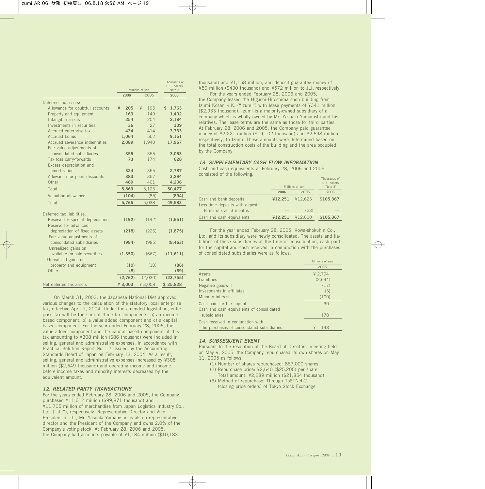|                                  | Millions of yen |          | Thousands of<br>U.S. dollars<br>(Note 3) |
|----------------------------------|-----------------|----------|------------------------------------------|
|                                  | 2006            | 2005     | 2006                                     |
| Deferred tax assets:             |                 |          |                                          |
| Allowance for doubtful accounts  | ¥<br>205        | 195<br>¥ | \$<br>1,763                              |
| Property and equipment           | 163             | 149      | 1,402                                    |
| Intangible assets                | 254             | 204      | 2,184                                    |
| Investments in securities        | 36              | 27       | 309                                      |
| Accrued enterprise tax           | 434             | 414      | 3,733                                    |
| Accrued bonus                    | 1,064           | 552      | 9,151                                    |
| Accrued severance indemnities    | 2,089           | 1,940    | 17,967                                   |
| Fair value adjustments of        |                 |          |                                          |
| consolidated subsidiaries        | 355             | 355      | 3,053                                    |
| Tax loss carry-forwards          | 73              | 174      | 628                                      |
| Excess depreciation and          |                 |          |                                          |
| amortization                     | 324             | 355      | 2,787                                    |
| Allowance for point discounts    | 383             | 357      | 3,294                                    |
| Other                            | 489             | 401      | 4,206                                    |
| Total                            | 5,869           | 5,123    | 50,477                                   |
| Valuation allowance              | (104)           | (85)     | (894)                                    |
| Total                            | 5,765           | 5,038    | 49,583                                   |
| Deferred tax liabilities:        |                 |          |                                          |
| Reserve for special depreciation | (192)           | (142)    | (1,651)                                  |
| Reserve for advanced             |                 |          |                                          |
| depreciation of fixed assets     | (218)           | (226)    | (1, 875)                                 |
| Fair value adjustments of        |                 |          |                                          |
| consolidated subsidiaries        | (984)           | (985)    | (8, 463)                                 |
| Unrealized gains on              |                 |          |                                          |
| available-for-sale securities    | (1, 350)        | (667)    | (11,611)                                 |
| Unrealized gains on              |                 |          |                                          |
| property and equipment           | (10)            | (10)     | (86)                                     |
| Other                            | (8)             |          | (69)                                     |
|                                  | (2,762)         | (2,030)  | (23, 755)                                |
| Net deferred tax assets          | ¥ 3,003         | ¥ 3.008  | \$25,828                                 |

On March 31, 2003, the Japanese National Diet approved various changes to the calculation of the statutory local enterprise tax, effective April 1, 2004. Under the amended legislation, enterprise tax will be the sum of three tax components; a) an income based component, b) a value added component and c) a capital based component. For the year ended February 28, 2006, the value added component and the capital based component of this tax amounting to ¥308 million (\$86 thousand) were included in selling, general and administrative expenses, in accordance with Practical Solution Report No. 12, issued by the Accounting Standards Board of Japan on February 13, 2004. As a result, selling, general and administrative expenses increased by ¥308 million (\$2,649 thousand) and operating income and income before income taxes and minority interests decreased by the equivalent amount.

#### *12. RELATED PARTY TRANSACTIONS*

For the years ended February 28, 2006 and 2005, the Company purchased ¥11,612 million (\$99,871 thousand) and ¥11,705 million of merchandise from Japan Logistics Industry Co., Ltd. ("JLI"), respectively. Representative Director and Vice President of JLI, Mr. Yasuaki Yamanishi, is also a representative director and the President of the Company and owns 2.0% of the Company's voting stock. At February 28, 2006 and 2005, the Company had accounts payable of ¥1,184 million (\$10,183

thousand) and ¥1,158 million, and deposit guarantee money of ¥50 million (\$430 thousand) and ¥572 million to JLI, respectively.

For the years ended February 28, 2006 and 2005, the Company leased the Higashi-Hiroshima shop building from Izumi Kosan K.K. ("Izumi") with lease payments of ¥341 million (\$2,933 thousand). Izumi is a majority-owned subsidiary of a company which is wholly owned by Mr. Yasuaki Yamanishi and his relatives. The lease terms are the same as those for third parties. At February 28, 2006 and 2005, the Company paid guarantee money of ¥2,221 million (\$19,102 thousand) and ¥2,698 million respectively, to Izumi. These amounts were determined based on the total construction costs of the building and the area occupied by the Company.

#### *13. SUPPLEMENTARY CASH FLOW INFORMATION*

Cash and cash equivalents at February 28, 2006 and 2005 consisted of the following:

|                                                           | Millions of yen |         | Thousands of<br>U.S. dollars<br>(Note 3) |
|-----------------------------------------------------------|-----------------|---------|------------------------------------------|
|                                                           | 2006            | 2005    | 2006                                     |
| Cash and bank deposits<br>Less-time deposits with deposit | ¥12,251         | ¥12,623 | \$105,367                                |
| terms of over 3 months                                    |                 | (23)    |                                          |
| Cash and cash equivalents                                 | ¥12,251         | ¥12,600 | \$105,367                                |

For the year ended February 28, 2005, Kowa-shokuhin Co., Ltd. and its subsidiary were newly consolidated. The assets and liabilities of these subsidiaries at the time of consolidation, cash paid for the capital and cash received in conjunction with the purchases of consolidated subsidiaries were as follows:

|                                            | Millions of yen |
|--------------------------------------------|-----------------|
|                                            | 2005            |
| <b>Assets</b>                              | ¥ 2.794         |
| Liabilities                                | (2.644)         |
| Negative goodwill                          | (17)            |
| Investments in affiliates                  | (3)             |
| Minority interests                         | (100)           |
| Cash paid for the capital                  | 30              |
| Cash and cash equivalents of consolidated  |                 |
| subsidiaries                               | 178             |
| Cash received in conjunction with          |                 |
| the purchases of consolidated subsidiaries | ¥<br>148        |
|                                            |                 |

#### *14. SUBSEQUENT EVENT*

Pursuant to the resolution of the Board of Directors' meeting held on May 9, 2005, the Company repurchased its own shares on May 11, 2005 as follows:

- (1) Number of shares repurchased: 867,000 shares (2) Repurchase price: ¥2,640 (\$25,205) per share
- Total amount: ¥2,289 million (\$21,854 thousand) (3) Method of repurchase: Through ToSTNet-2
- (closing price orders) of Tokyo Stock Exchange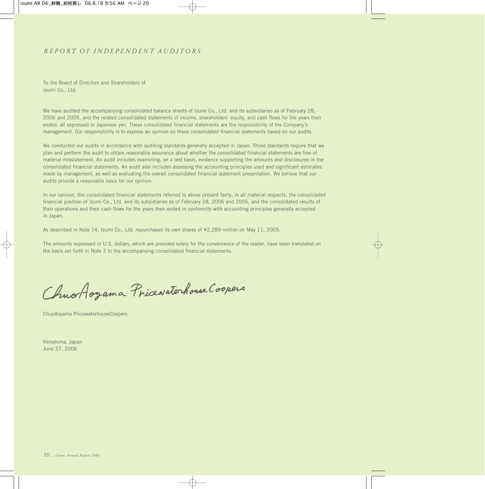### *REPORT OF INDEPENDENT AUDITORS*

To the Board of Directors and Shareholders of Izumi Co., Ltd.

We have audited the accompanying consolidated balance sheets of Izumi Co., Ltd. and its subsidiaries as of February 28, 2006 and 2005, and the related consolidated statements of income, shareholders' equity, and cash flows for the years then ended, all expressed in Japanese yen. These consolidated financial statements are the responsibility of the Company's management. Our responsibility is to express an opinion on these consolidated financial statements based on our audits.

We conducted our audits in accordance with auditing standards generally accepted in Japan. Those standards require that we plan and perform the audit to obtain reasonable assurance about whether the consolidated financial statements are free of material misstatement. An audit includes examining, on a test basis, evidence supporting the amounts and disclosures in the consolidated financial statements. An audit also includes assessing the accounting principles used and significant estimates made by management, as well as evaluating the overall consolidated financial statement presentation. We believe that our audits provide a reasonable basis for our opinion.

In our opinion, the consolidated financial statements referred to above present fairly, in all material respects, the consolidated financial position of Izumi Co., Ltd. and its subsidiaries as of February 28, 2006 and 2005, and the consolidated results of their operations and their cash flows for the years then ended in conformity with accounting principles generally accepted in Japan.

As described in Note 14, Izumi Co., Ltd. repurchased its own shares of ¥2,289 million on May 11, 2005.

The amounts expressed in U.S. dollars, which are provided solely for the convenience of the reader, have been translated on the basis set forth in Note 3 to the accompanying consolidated financial statements.

ChuoAoyama Pricewaterhouse Coopers

ChuoAoyama PricewaterhouseCoopers

Hiroshima, Japan June 27, 2006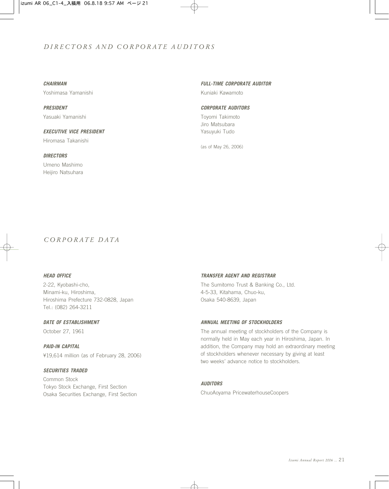### *DIRECTORS AND CORPORATE AUDITORS*

#### *CHAIRMAN*

Yoshimasa Yamanishi

*PRESIDENT* Yasuaki Yamanishi

## *EXECUTIVE VICE PRESIDENT* Hiromasa Takanishi

Umeno Mashimo Heijiro Natsuhara

*DIRECTORS*

#### *FULL-TIME CORPORATE AUDITOR*

Kuniaki Kawamoto

#### *CORPORATE AUDITORS*

Toyomi Takimoto Jiro Matsubara Yasuyuki Tudo

(as of May 26, 2006)

### *CORPORATE DATA*

#### *HEAD OFFICE*

2-22, Kyobashi-cho, Minami-ku, Hiroshima, Hiroshima Prefecture 732-0828, Japan Tel.: (082) 264-3211

#### *DATE OF ESTABLISHMENT*

October 27, 1961

*PAID-IN CAPITAL* ¥19,614 million (as of February 28, 2006)

#### *SECURITIES TRADED*

Common Stock Tokyo Stock Exchange, First Section Osaka Securities Exchange, First Section

#### *TRANSFER AGENT AND REGISTRAR*

The Sumitomo Trust & Banking Co., Ltd. 4-5-33, Kitahama, Chuo-ku, Osaka 540-8639, Japan

#### *ANNUAL MEETING OF STOCKHOLDERS*

The annual meeting of stockholders of the Company is normally held in May each year in Hiroshima, Japan. In addition, the Company may hold an extraordinary meeting of stockholders whenever necessary by giving at least two weeks' advance notice to stockholders.

#### *AUDITORS*

ChuoAoyama PricewaterhouseCoopers